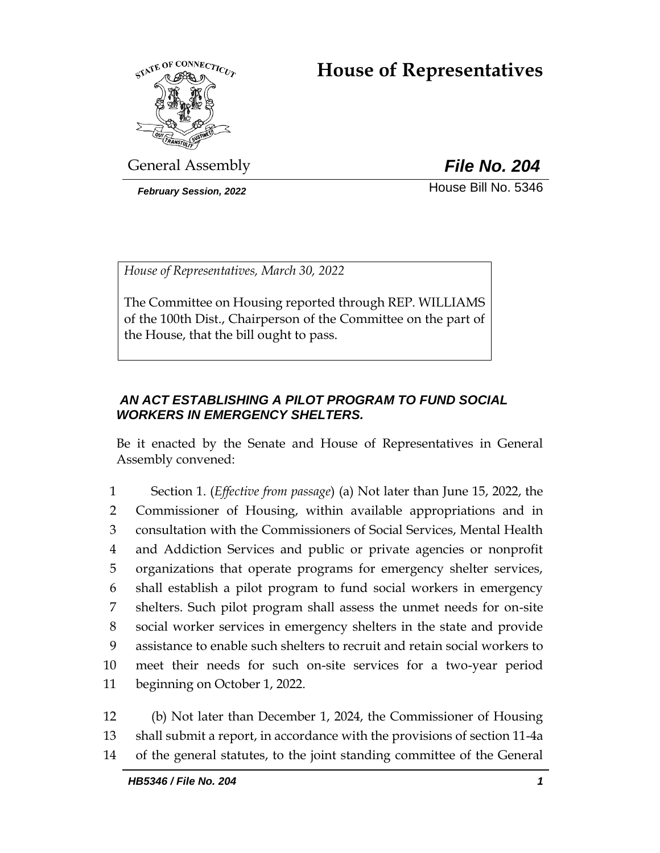# **House of Representatives**



General Assembly *File No. 204*

**February Session, 2022 House Bill No. 5346** 

*House of Representatives, March 30, 2022*

The Committee on Housing reported through REP. WILLIAMS of the 100th Dist., Chairperson of the Committee on the part of the House, that the bill ought to pass.

## *AN ACT ESTABLISHING A PILOT PROGRAM TO FUND SOCIAL WORKERS IN EMERGENCY SHELTERS.*

Be it enacted by the Senate and House of Representatives in General Assembly convened:

 Section 1. (*Effective from passage*) (a) Not later than June 15, 2022, the Commissioner of Housing, within available appropriations and in consultation with the Commissioners of Social Services, Mental Health and Addiction Services and public or private agencies or nonprofit organizations that operate programs for emergency shelter services, shall establish a pilot program to fund social workers in emergency shelters. Such pilot program shall assess the unmet needs for on-site social worker services in emergency shelters in the state and provide assistance to enable such shelters to recruit and retain social workers to meet their needs for such on-site services for a two-year period beginning on October 1, 2022.

12 (b) Not later than December 1, 2024, the Commissioner of Housing 13 shall submit a report, in accordance with the provisions of section 11-4a 14 of the general statutes, to the joint standing committee of the General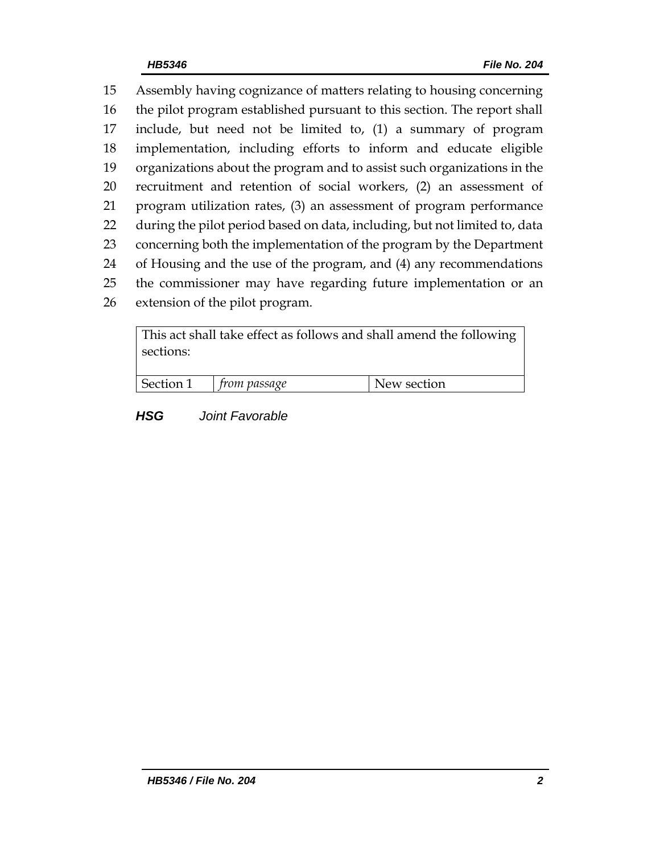Assembly having cognizance of matters relating to housing concerning the pilot program established pursuant to this section. The report shall include, but need not be limited to, (1) a summary of program implementation, including efforts to inform and educate eligible organizations about the program and to assist such organizations in the recruitment and retention of social workers, (2) an assessment of program utilization rates, (3) an assessment of program performance during the pilot period based on data, including, but not limited to, data concerning both the implementation of the program by the Department of Housing and the use of the program, and (4) any recommendations the commissioner may have regarding future implementation or an extension of the pilot program.

This act shall take effect as follows and shall amend the following sections: Section 1 *from passage* New section

*HSG Joint Favorable*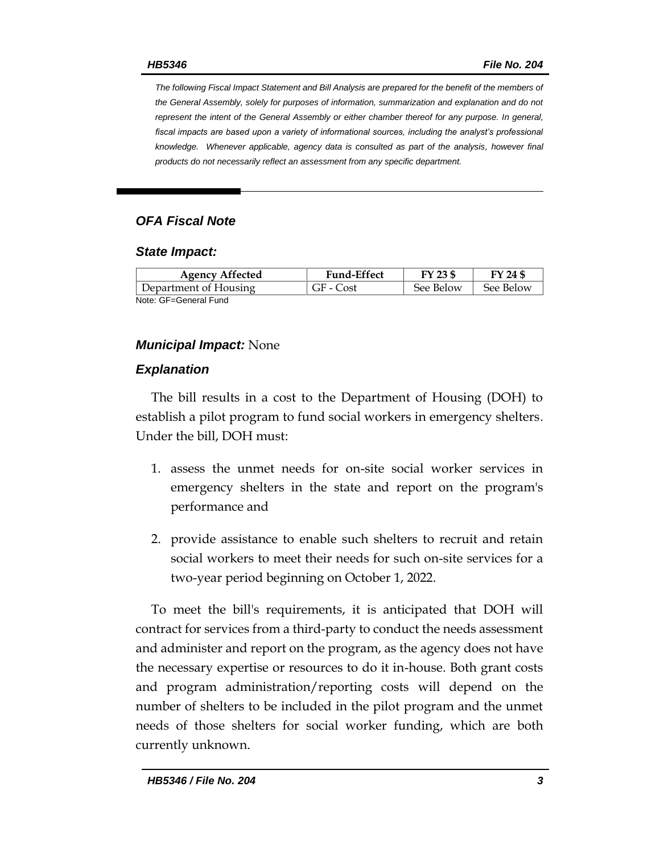*The following Fiscal Impact Statement and Bill Analysis are prepared for the benefit of the members of the General Assembly, solely for purposes of information, summarization and explanation and do not represent the intent of the General Assembly or either chamber thereof for any purpose. In general,*  fiscal impacts are based upon a variety of informational sources, including the analyst's professional *knowledge. Whenever applicable, agency data is consulted as part of the analysis, however final products do not necessarily reflect an assessment from any specific department.*

## *OFA Fiscal Note*

#### *State Impact:*

| <b>Agency Affected</b> | <b>Fund-Effect</b> | FY 23 \$  | FY 24 \$  |
|------------------------|--------------------|-----------|-----------|
| Department of Housing  | GF - Cost          | See Below | See Below |
| Note: GF=General Fund  |                    |           |           |

### *Municipal Impact:* None

### *Explanation*

The bill results in a cost to the Department of Housing (DOH) to establish a pilot program to fund social workers in emergency shelters. Under the bill, DOH must:

- 1. assess the unmet needs for on-site social worker services in emergency shelters in the state and report on the program's performance and
- 2. provide assistance to enable such shelters to recruit and retain social workers to meet their needs for such on-site services for a two-year period beginning on October 1, 2022.

To meet the bill's requirements, it is anticipated that DOH will contract for services from a third-party to conduct the needs assessment and administer and report on the program, as the agency does not have the necessary expertise or resources to do it in-house. Both grant costs and program administration/reporting costs will depend on the number of shelters to be included in the pilot program and the unmet needs of those shelters for social worker funding, which are both currently unknown.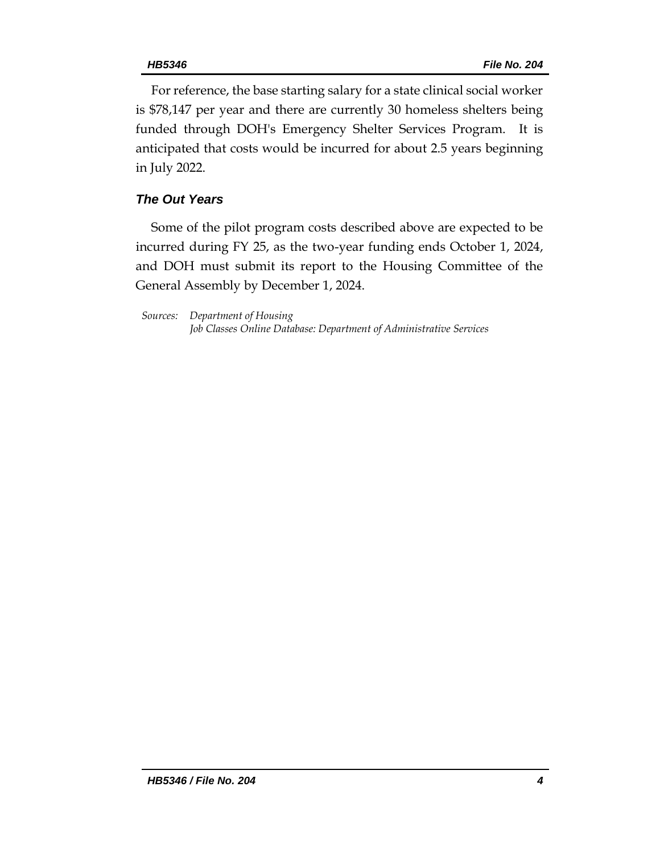For reference, the base starting salary for a state clinical social worker is \$78,147 per year and there are currently 30 homeless shelters being funded through DOH's Emergency Shelter Services Program. It is anticipated that costs would be incurred for about 2.5 years beginning in July 2022.

## *The Out Years*

Some of the pilot program costs described above are expected to be incurred during FY 25, as the two-year funding ends October 1, 2024, and DOH must submit its report to the Housing Committee of the General Assembly by December 1, 2024.

*Sources: Department of Housing Job Classes Online Database: Department of Administrative Services*